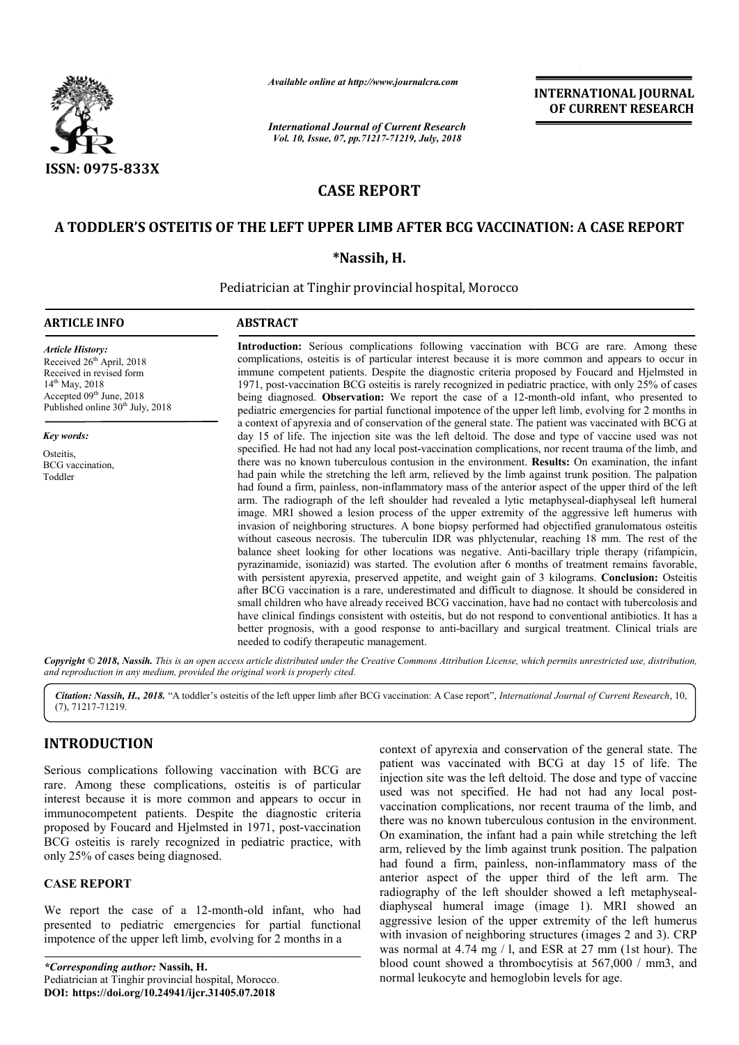

*Available online at http://www.journalcra.com*

*International Journal of Current Research Vol. 10, Issue, 07, pp.71217-71219, July, 2018*

**INTERNATIONAL JOURNAL OF CURRENT RESEARCH**

# **CASE REPORT**

## A TODDLER'S OSTEITIS OF THE LEFT UPPER LIMB AFTER BCG VACCINATION: A CASE REPORT

**\*Nassih, H.**

Pediatrician at Tinghir provincial hospital, Morocco

#### **ARTICLE INFO ABSTRACT**

*Article History:* Received 26<sup>th</sup> April, 2018 Received in revised form 14<sup>th</sup> May, 2018 Accepted  $09<sup>th</sup>$  June, 2018 Published online  $30<sup>th</sup>$  July, 2018

*Key words:*

Osteitis, BCG vaccination, Toddler

Introduction: Serious complications following vaccination with BCG are rare. Among these complications, osteitis is of particular interest because it is more common and appears to occur in immune competent patients. Despite the diagnostic criteria propos 1971, post-vaccination BCG osteitis is rarely recognized in pediatric practice, with only 25% of cases 1971, post-vaccination BCG osteitis is rarely recognized in pediatric practice, with only 25% of cases being diagnosed. **Observation:** We report the case of a 12-month-old infant, who presented to pediatric emergencies for partial functional impotence of the upper left limb, evolving for 2 months in a context of apyrexia and of conservation of the general state. The patient was vaccinated with BCG at day 15 of life. The injection site was the left deltoid. The dose and type of vaccine used was not specified. He had not had any local post-vaccination complications, nor recent trauma of the limb, and there was no known tuberculous contusion in the environment. **Results:** On examination, the infant had pain while the stretching the left arm, relieved by the limb against trunk position. The palpation had found a firm, painless, non-inflammatory mass of the anterior aspect of the upper third of the left had pain while the stretching the left arm, relieved by the limb against trunk position. The palpation had found a firm, painless, non-inflammatory mass of the anterior aspect of the upper third of the left arm. The radiog image. MRI showed a lesion process of the upper extremity of the aggressive left humerus with invasion of neighboring structures. A bone biopsy performed had objectified granulomatous osteitis without caseous necrosis. The tuberculin IDR was phlyctenular, reaching 18 mm. The rest of the balance sheet looking for other locations was negative. Anti-bacillary triple therapy (rifampicin, pyrazinamide, isoniazid) was started. The evolution after 6 months of treatment remains favorable, with persistent apyrexia, preserved appetite, and weight gain of 3 kilograms. after BCG vaccination is a rare, underestimated and difficult to diagnose. It should be considered in after BCG vaccination is a rare, underestimated and difficult to diagnose. It should be considered in small children who have already received BCG vaccination, have had no contact with tubercolosis and have clinical findings consistent with osteitis, but do not respond to conventional antibiotics. It has a have clinical findings consistent with osteitis, but do not respond to conventional antibiotics. It has a better prognosis, with a good response to anti-bacillary and surgical treatment. Clinical trials are needed to codify therapeutic management. Introduction: Serious complications following vaccination with BCG are rare. Among these complications, osteitis is of particular interest because it is more common and appears to occur in immune competent patients. Despit pediatric emergencies for partial functional impotence of the upper left limb, evolving for 2 months in<br>a context of apyrexia and of conservation of the general state. The patient was vaccinated with BCG at<br>day 15 of life. image. MRI showed a lesion process of the upper extremity of the aggressive left humerus with invasion of neighboring structures. A bone biopsy performed had objectified granulomatous osteitis without caseous necrosis. The **INTERNATIONAL JOURNAL COUNTERNATION CONTINUES ARE CONTINUES AND CONTINUES ARE CONTINUES AND SURFACE CONTINUES AND SURFACE CONTINUES AND SURFACE THE UPPER CONTINUES AND SURFACE THE UPPER CONTINUES IN A AT A mixtual hemoge** 

Copyright © 2018, Nassih. This is an open access article distributed under the Creative Commons Attribution License, which permits unrestricted use, distribution, *and reproduction in any medium, provided the original work is properly cited.*

Citation: Nassih, H., 2018. "A toddler's osteitis of the left upper limb after BCG vaccination: A Case report", *International Journal of Current Research*, 10, (7), 71217-71219.

# **INTRODUCTION**

Serious complications following vaccination with BCG are rare. Among these complications, osteitis is of particular interest because it is more common and appears to occur in immunocompetent patients. Despite the diagnostic criteria proposed by Foucard and Hjelmsted in 1971, post-vaccination BCG osteitis is rarely recognized in pediatric practice, with only 25% of cases being diagnosed.

#### **CASE REPORT**

We report the case of a 12-month-old infant, who had presented to pediatric emergencies for partial functional impotence of the upper left limb, evolving for 2 months in a old in<br>for pa<br>ig for 2<br>orocco.

*\*Corresponding author:* **Nassih, H.** Pediatrician at Tinghir provincial hospital, Morocco. **DOI: https://doi.org/10.24941/ijcr.31405.07.201 .07.2018**

context of apyrexia and conservation of the general state. The patient was vaccinated with BCG at day 15 of life. The injection site was the left deltoid. The dose and type of vaccine patient was vaccinated with BCG at day 15 of life. The injection site was the left deltoid. The dose and type of vaccine used was not specified. He had not had any local postvaccination complications, nor recent trauma of the limb, and there was no known tuberculous contusion in the environment. On examination, the infant had a pain while stretching the left arm, relieved by the limb against trunk position. The palpation had found a firm, painless, non-inflammatory mass of the anterior aspect of the upper third of the left arm. The anterior aspect of the upper third of the left arm. The radiography of the left shoulder showed a left metaphysealdiaphyseal humeral image (image 1). MRI showed an aggressive lesion of the upper extremity of the left humerus with invasion of neighboring structures (images 2 and 3). CRP was normal at 4.74 mg / l, and ESR at 27 mm (1st hour). The blood count showed a thrombocytisis at 567,000 / mm3, and normal leukocyte and hemoglobin levels for age. there was no known tuberculous contusion in the environment.<br>On examination, the infant had a pain while stretching the left<br>arm, relieved by the limb against trunk position. The palpation<br>had found a firm, painless, non-i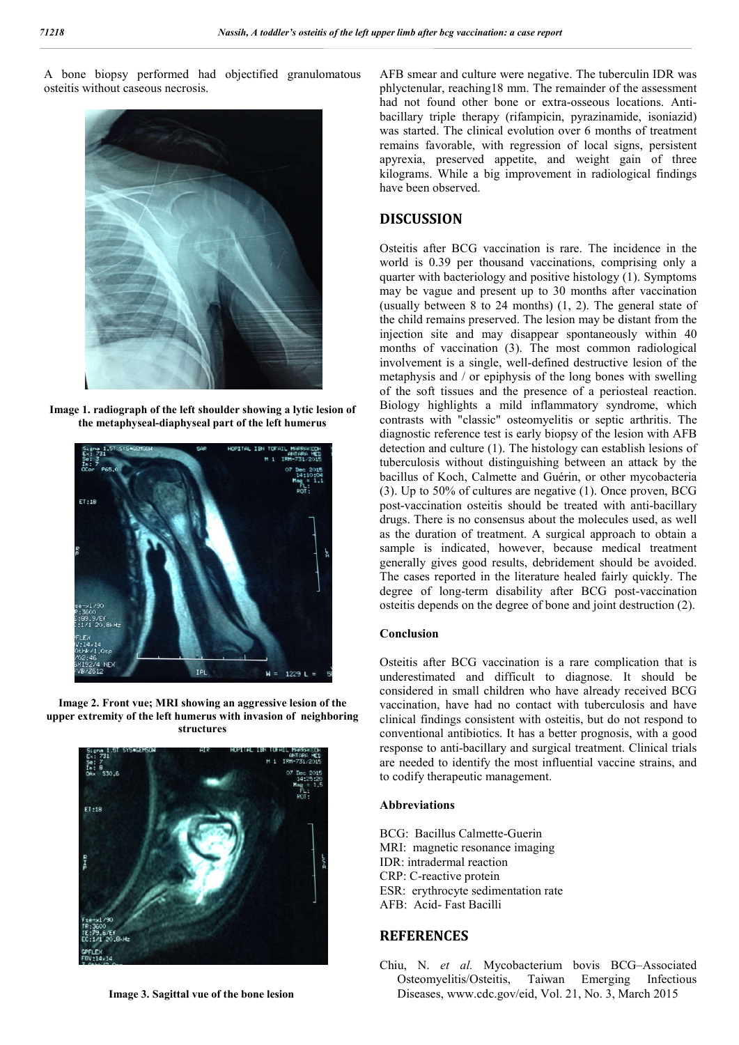A bone biopsy performed had objectified granulomatous osteitis without caseous necrosis.



**Image 1. radiograph of the left shoulder showing a lytic lesion of the metaphyseal-diaphyseal part of the left humerus**



**Image 2. Front vue; MRI showing an aggressive lesion of the upper extremity of the left humerus with invasion of neighboring structures**



**Image 3. Sagittal vue of the bone lesion**

AFB smear and culture were negative. The tuberculin IDR was phlyctenular, reaching18 mm. The remainder of the assessment had not found other bone or extra-osseous locations. Antibacillary triple therapy (rifampicin, pyrazinamide, isoniazid) was started. The clinical evolution over 6 months of treatment remains favorable, with regression of local signs, persistent apyrexia, preserved appetite, and weight gain of three kilograms. While a big improvement in radiological findings have been observed.

### **DISCUSSION**

Osteitis after BCG vaccination is rare. The incidence in the world is 0.39 per thousand vaccinations, comprising only a quarter with bacteriology and positive histology (1). Symptoms may be vague and present up to 30 months after vaccination (usually between 8 to 24 months) (1, 2). The general state of the child remains preserved. The lesion may be distant from the injection site and may disappear spontaneously within 40 months of vaccination (3). The most common radiological involvement is a single, well-defined destructive lesion of the metaphysis and / or epiphysis of the long bones with swelling of the soft tissues and the presence of a periosteal reaction. Biology highlights a mild inflammatory syndrome, which contrasts with "classic" osteomyelitis or septic arthritis. The diagnostic reference test is early biopsy of the lesion with AFB detection and culture (1). The histology can establish lesions of tuberculosis without distinguishing between an attack by the bacillus of Koch, Calmette and Guérin, or other mycobacteria (3). Up to 50% of cultures are negative (1). Once proven, BCG post-vaccination osteitis should be treated with anti-bacillary drugs. There is no consensus about the molecules used, as well as the duration of treatment. A surgical approach to obtain a sample is indicated, however, because medical treatment generally gives good results, debridement should be avoided. The cases reported in the literature healed fairly quickly. The degree of long-term disability after BCG post-vaccination osteitis depends on the degree of bone and joint destruction (2).

#### **Conclusion**

Osteitis after BCG vaccination is a rare complication that is underestimated and difficult to diagnose. It should be considered in small children who have already received BCG vaccination, have had no contact with tuberculosis and have clinical findings consistent with osteitis, but do not respond to conventional antibiotics. It has a better prognosis, with a good response to anti-bacillary and surgical treatment. Clinical trials are needed to identify the most influential vaccine strains, and to codify therapeutic management.

#### **Abbreviations**

- BCG: Bacillus Calmette-Guerin
- MRI: magnetic resonance imaging
- IDR: intradermal reaction
- CRP: C-reactive protein
- ESR: erythrocyte sedimentation rate
- AFB: Acid- Fast Bacilli

### **REFERENCES**

Chiu, N. *et al.* Mycobacterium bovis BCG–Associated Osteomyelitis/Osteitis, Taiwan Emerging Infectious Diseases, www.cdc.gov/eid, Vol. 21, No. 3, March 2015